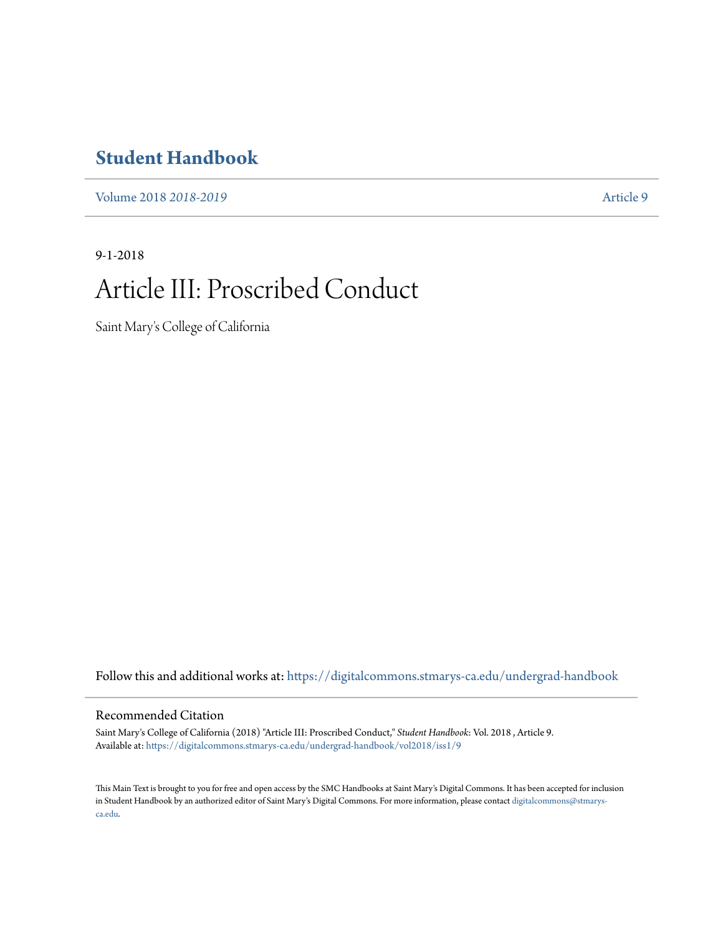## **[Student Handbook](https://digitalcommons.stmarys-ca.edu/undergrad-handbook?utm_source=digitalcommons.stmarys-ca.edu%2Fundergrad-handbook%2Fvol2018%2Fiss1%2F9&utm_medium=PDF&utm_campaign=PDFCoverPages)**

[Volume 2018](https://digitalcommons.stmarys-ca.edu/undergrad-handbook/vol2018?utm_source=digitalcommons.stmarys-ca.edu%2Fundergrad-handbook%2Fvol2018%2Fiss1%2F9&utm_medium=PDF&utm_campaign=PDFCoverPages) *2018-2019* [Article 9](https://digitalcommons.stmarys-ca.edu/undergrad-handbook/vol2018/iss1/9?utm_source=digitalcommons.stmarys-ca.edu%2Fundergrad-handbook%2Fvol2018%2Fiss1%2F9&utm_medium=PDF&utm_campaign=PDFCoverPages)

9-1-2018

# Article III: Proscribed Conduct

Saint Mary's College of California

Follow this and additional works at: [https://digitalcommons.stmarys-ca.edu/undergrad-handbook](https://digitalcommons.stmarys-ca.edu/undergrad-handbook?utm_source=digitalcommons.stmarys-ca.edu%2Fundergrad-handbook%2Fvol2018%2Fiss1%2F9&utm_medium=PDF&utm_campaign=PDFCoverPages)

### Recommended Citation

Saint Mary's College of California (2018) "Article III: Proscribed Conduct," *Student Handbook*: Vol. 2018 , Article 9. Available at: [https://digitalcommons.stmarys-ca.edu/undergrad-handbook/vol2018/iss1/9](https://digitalcommons.stmarys-ca.edu/undergrad-handbook/vol2018/iss1/9?utm_source=digitalcommons.stmarys-ca.edu%2Fundergrad-handbook%2Fvol2018%2Fiss1%2F9&utm_medium=PDF&utm_campaign=PDFCoverPages)

This Main Text is brought to you for free and open access by the SMC Handbooks at Saint Mary's Digital Commons. It has been accepted for inclusion in Student Handbook by an authorized editor of Saint Mary's Digital Commons. For more information, please contact [digitalcommons@stmarys](mailto:digitalcommons@stmarys-ca.edu)[ca.edu](mailto:digitalcommons@stmarys-ca.edu).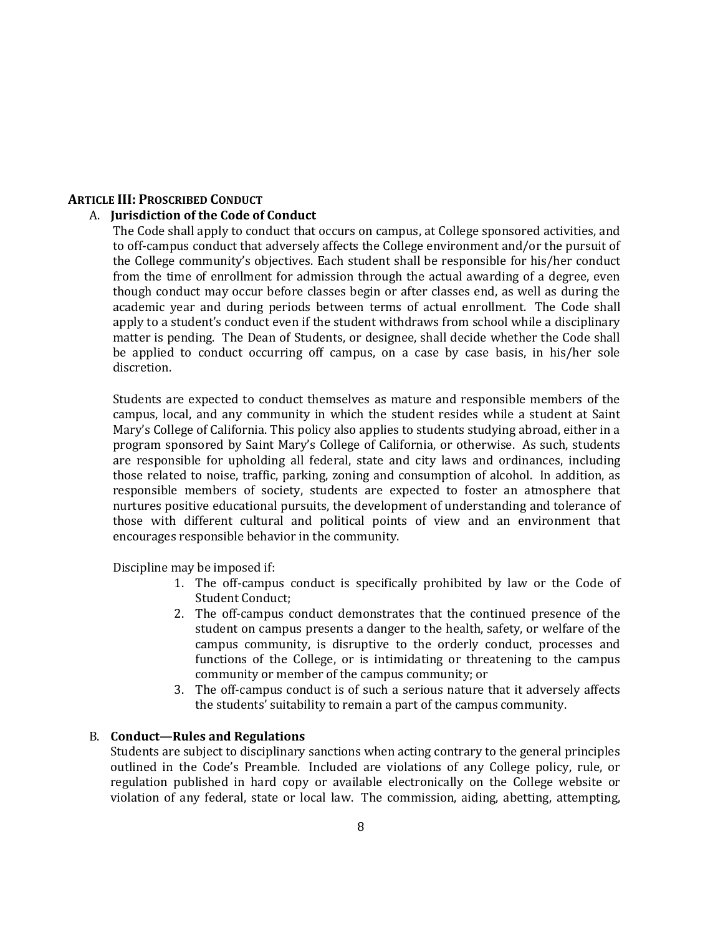### **ARTICLE III: PROSCRIBED CONDUCT**

### A. **Jurisdiction of the Code of Conduct**

The Code shall apply to conduct that occurs on campus, at College sponsored activities, and to off-campus conduct that adversely affects the College environment and/or the pursuit of the College community's objectives. Each student shall be responsible for his/her conduct from the time of enrollment for admission through the actual awarding of a degree, even though conduct may occur before classes begin or after classes end, as well as during the academic year and during periods between terms of actual enrollment. The Code shall apply to a student's conduct even if the student withdraws from school while a disciplinary matter is pending. The Dean of Students, or designee, shall decide whether the Code shall be applied to conduct occurring off campus, on a case by case basis, in his/her sole discretion.

Students are expected to conduct themselves as mature and responsible members of the campus, local, and any community in which the student resides while a student at Saint Mary's College of California. This policy also applies to students studying abroad, either in a program sponsored by Saint Mary's College of California, or otherwise. As such, students are responsible for upholding all federal, state and city laws and ordinances, including those related to noise, traffic, parking, zoning and consumption of alcohol. In addition, as responsible members of society, students are expected to foster an atmosphere that nurtures positive educational pursuits, the development of understanding and tolerance of those with different cultural and political points of view and an environment that encourages responsible behavior in the community.

Discipline may be imposed if:

- 1. The off-campus conduct is specifically prohibited by law or the Code of Student Conduct;
- 2. The off-campus conduct demonstrates that the continued presence of the student on campus presents a danger to the health, safety, or welfare of the campus community, is disruptive to the orderly conduct, processes and functions of the College, or is intimidating or threatening to the campus community or member of the campus community; or
- 3. The off-campus conduct is of such a serious nature that it adversely affects the students' suitability to remain a part of the campus community.

#### B. **Conduct—Rules and Regulations**

Students are subject to disciplinary sanctions when acting contrary to the general principles outlined in the Code's Preamble. Included are violations of any College policy, rule, or regulation published in hard copy or available electronically on the College website or violation of any federal, state or local law. The commission, aiding, abetting, attempting,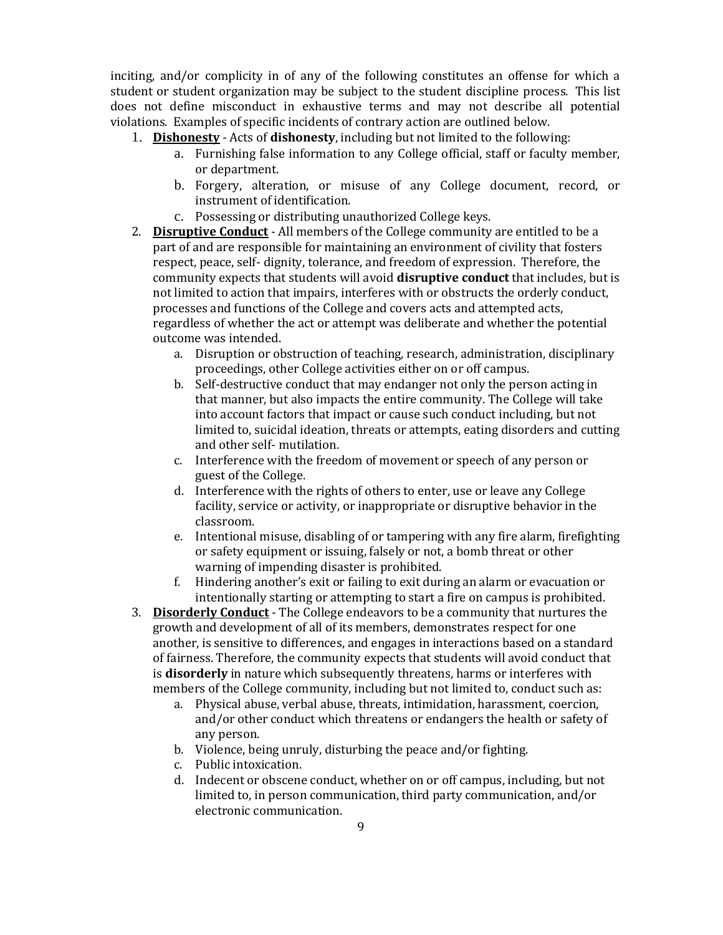inciting, and/or complicity in of any of the following constitutes an offense for which a student or student organization may be subject to the student discipline process. This list does not define misconduct in exhaustive terms and may not describe all potential violations. Examples of specific incidents of contrary action are outlined below.

- 1. **Dishonesty** Acts of **dishonesty**, including but not limited to the following:
	- a. Furnishing false information to any College official, staff or faculty member, or department.
	- b. Forgery, alteration, or misuse of any College document, record, or instrument of identification.
	- c. Possessing or distributing unauthorized College keys.
- 2. **Disruptive Conduct** All members of the College community are entitled to be a part of and are responsible for maintaining an environment of civility that fosters respect, peace, self- dignity, tolerance, and freedom of expression. Therefore, the community expects that students will avoid **disruptive conduct** that includes, but is not limited to action that impairs, interferes with or obstructs the orderly conduct, processes and functions of the College and covers acts and attempted acts, regardless of whether the act or attempt was deliberate and whether the potential outcome was intended.
	- a. Disruption or obstruction of teaching, research, administration, disciplinary proceedings, other College activities either on or off campus.
	- b. Self-destructive conduct that may endanger not only the person acting in that manner, but also impacts the entire community. The College will take into account factors that impact or cause such conduct including, but not limited to, suicidal ideation, threats or attempts, eating disorders and cutting and other self- mutilation.
	- c. Interference with the freedom of movement or speech of any person or guest of the College.
	- d. Interference with the rights of others to enter, use or leave any College facility, service or activity, or inappropriate or disruptive behavior in the classroom.
	- e. Intentional misuse, disabling of or tampering with any fire alarm, firefighting or safety equipment or issuing, falsely or not, a bomb threat or other warning of impending disaster is prohibited.
	- f. Hindering another's exit or failing to exit during an alarm or evacuation or intentionally starting or attempting to start a fire on campus is prohibited.
- 3. **Disorderly Conduct** The College endeavors to be a community that nurtures the growth and development of all of its members, demonstrates respect for one another, is sensitive to differences, and engages in interactions based on a standard of fairness. Therefore, the community expects that students will avoid conduct that is **disorderly** in nature which subsequently threatens, harms or interferes with members of the College community, including but not limited to, conduct such as:
	- a. Physical abuse, verbal abuse, threats, intimidation, harassment, coercion, and/or other conduct which threatens or endangers the health or safety of any person.
	- b. Violence, being unruly, disturbing the peace and/or fighting.
	- c. Public intoxication.
	- d. Indecent or obscene conduct, whether on or off campus, including, but not limited to, in person communication, third party communication, and/or electronic communication.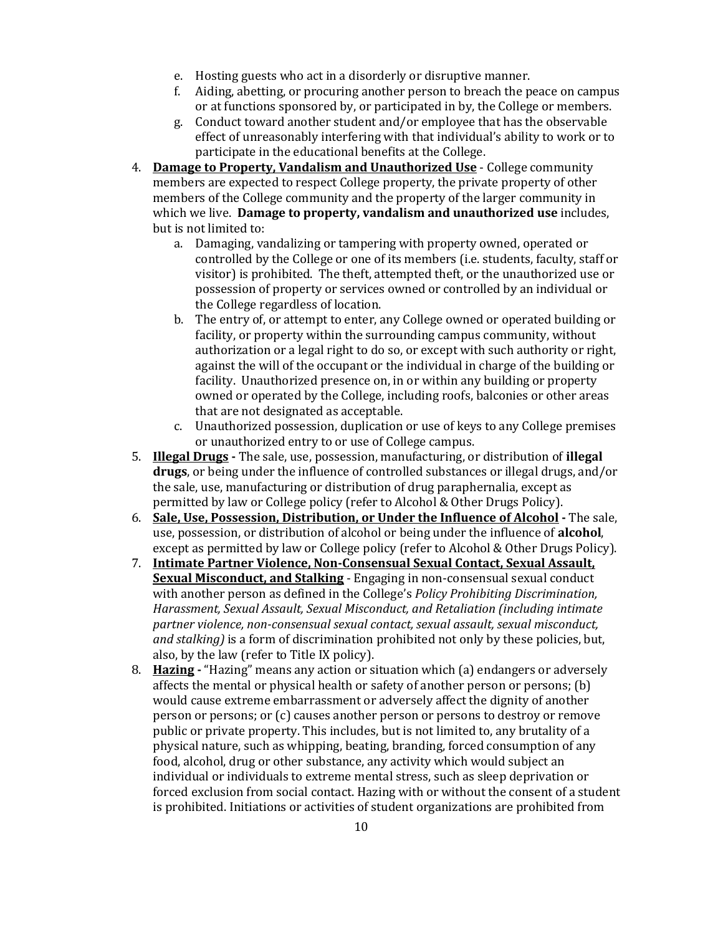- e. Hosting guests who act in a disorderly or disruptive manner.
- f. Aiding, abetting, or procuring another person to breach the peace on campus or at functions sponsored by, or participated in by, the College or members.
- g. Conduct toward another student and/or employee that has the observable effect of unreasonably interfering with that individual's ability to work or to participate in the educational benefits at the College.
- 4. **Damage to Property, Vandalism and Unauthorized Use** College community members are expected to respect College property, the private property of other members of the College community and the property of the larger community in which we live. **Damage to property, vandalism and unauthorized use** includes, but is not limited to:
	- a. Damaging, vandalizing or tampering with property owned, operated or controlled by the College or one of its members (i.e. students, faculty, staff or visitor) is prohibited. The theft, attempted theft, or the unauthorized use or possession of property or services owned or controlled by an individual or the College regardless of location.
	- b. The entry of, or attempt to enter, any College owned or operated building or facility, or property within the surrounding campus community, without authorization or a legal right to do so, or except with such authority or right, against the will of the occupant or the individual in charge of the building or facility. Unauthorized presence on, in or within any building or property owned or operated by the College, including roofs, balconies or other areas that are not designated as acceptable.
	- c. Unauthorized possession, duplication or use of keys to any College premises or unauthorized entry to or use of College campus.
- 5. **Illegal Drugs** The sale, use, possession, manufacturing, or distribution of **illegal drugs**, or being under the influence of controlled substances or illegal drugs, and/or the sale, use, manufacturing or distribution of drug paraphernalia, except as permitted by law or College policy (refer to Alcohol & Other Drugs Policy).
- 6. **Sale, Use, Possession, Distribution, or Under the Influence of Alcohol -** The sale, use, possession, or distribution of alcohol or being under the influence of **alcohol**, except as permitted by law or College policy (refer to Alcohol & Other Drugs Policy).
- 7. **Intimate Partner Violence, Non-Consensual Sexual Contact, Sexual Assault, Sexual Misconduct, and Stalking** - Engaging in non-consensual sexual conduct with another person as defined in the College's *Policy Prohibiting Discrimination, Harassment, Sexual Assault, Sexual Misconduct, and Retaliation (including intimate partner violence, non-consensual sexual contact, sexual assault, sexual misconduct, and stalking)* is a form of discrimination prohibited not only by these policies, but, also, by the law (refer to Title IX policy).
- 8. **Hazing** "Hazing" means any action or situation which (a) endangers or adversely affects the mental or physical health or safety of another person or persons; (b) would cause extreme embarrassment or adversely affect the dignity of another person or persons; or (c) causes another person or persons to destroy or remove public or private property. This includes, but is not limited to, any brutality of a physical nature, such as whipping, beating, branding, forced consumption of any food, alcohol, drug or other substance, any activity which would subject an individual or individuals to extreme mental stress, such as sleep deprivation or forced exclusion from social contact. Hazing with or without the consent of a student is prohibited. Initiations or activities of student organizations are prohibited from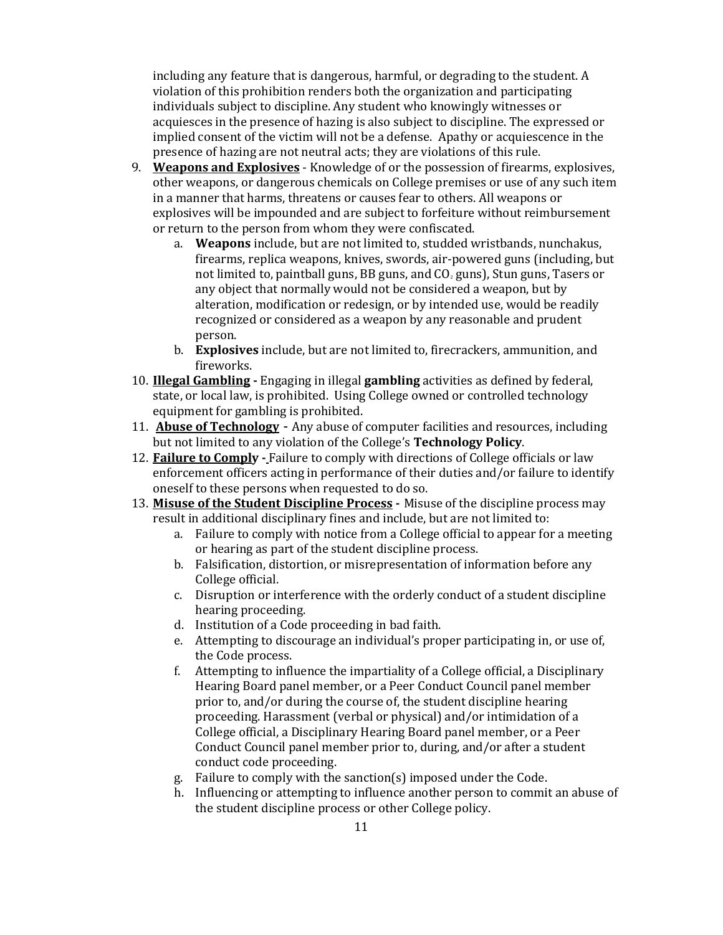including any feature that is dangerous, harmful, or degrading to the student. A violation of this prohibition renders both the organization and participating individuals subject to discipline. Any student who knowingly witnesses or acquiesces in the presence of hazing is also subject to discipline. The expressed or implied consent of the victim will not be a defense. Apathy or acquiescence in the presence of hazing are not neutral acts; they are violations of this rule.

- 9. **Weapons and Explosives** Knowledge of or the possession of firearms, explosives, other weapons, or dangerous chemicals on College premises or use of any such item in a manner that harms, threatens or causes fear to others. All weapons or explosives will be impounded and are subject to forfeiture without reimbursement or return to the person from whom they were confiscated.
	- a. **Weapons** include, but are not limited to, studded wristbands, nunchakus, firearms, replica weapons, knives, swords, air-powered guns (including, but not limited to, paintball guns, BB guns, and  $CO<sub>2</sub>$  guns), Stun guns, Tasers or any object that normally would not be considered a weapon, but by alteration, modification or redesign, or by intended use, would be readily recognized or considered as a weapon by any reasonable and prudent person.
	- b. **Explosives** include, but are not limited to, firecrackers, ammunition, and fireworks.
- 10. **Illegal Gambling -** Engaging in illegal **gambling** activities as defined by federal, state, or local law, is prohibited. Using College owned or controlled technology equipment for gambling is prohibited.
- 11. **Abuse of Technology** Any abuse of computer facilities and resources, including but not limited to any violation of the College's **Technology Policy**.
- 12. **Failure to Comply** Failure to comply with directions of College officials or law enforcement officers acting in performance of their duties and/or failure to identify oneself to these persons when requested to do so.
- 13. **Misuse of the Student Discipline Process -** Misuse of the discipline process may result in additional disciplinary fines and include, but are not limited to:
	- a. Failure to comply with notice from a College official to appear for a meeting or hearing as part of the student discipline process.
	- b. Falsification, distortion, or misrepresentation of information before any College official.
	- c. Disruption or interference with the orderly conduct of a student discipline hearing proceeding.
	- d. Institution of a Code proceeding in bad faith.
	- e. Attempting to discourage an individual's proper participating in, or use of, the Code process.
	- f. Attempting to influence the impartiality of a College official, a Disciplinary Hearing Board panel member, or a Peer Conduct Council panel member prior to, and/or during the course of, the student discipline hearing proceeding. Harassment (verbal or physical) and/or intimidation of a College official, a Disciplinary Hearing Board panel member, or a Peer Conduct Council panel member prior to, during, and/or after a student conduct code proceeding.
	- g. Failure to comply with the sanction(s) imposed under the Code.
	- h. Influencing or attempting to influence another person to commit an abuse of the student discipline process or other College policy.